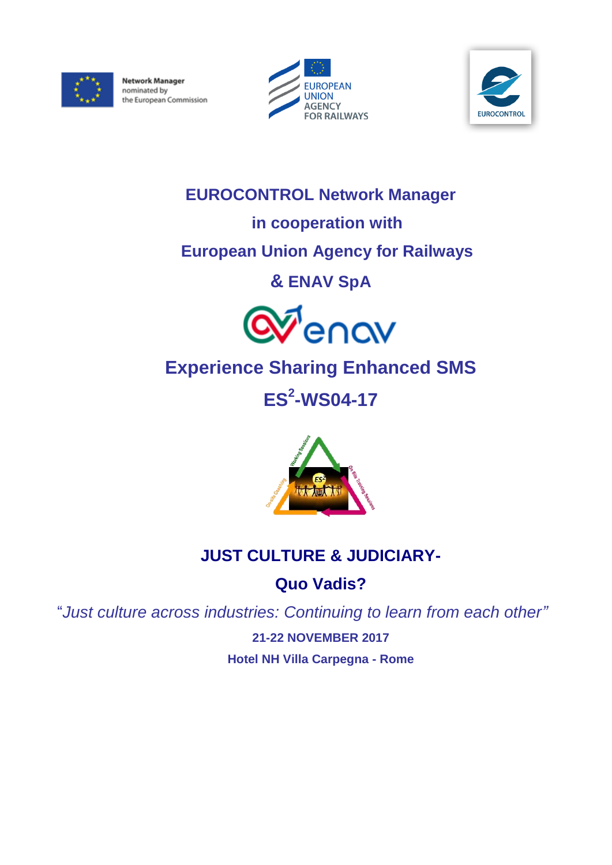

**Network Manager** nominated by the European Commission





# **EUROCONTROL Network Manager**

### **in cooperation with**

## **European Union Agency for Railways**

# **& ENAV SpA**



# **Experience Sharing Enhanced SMS**

**ES<sup>2</sup> -WS04-17**



# **JUST CULTURE & JUDICIARY-**

### **Quo Vadis?**

"*Just culture across industries: Continuing to learn from each other"*

**21-22 NOVEMBER 2017 Hotel NH Villa Carpegna - Rome**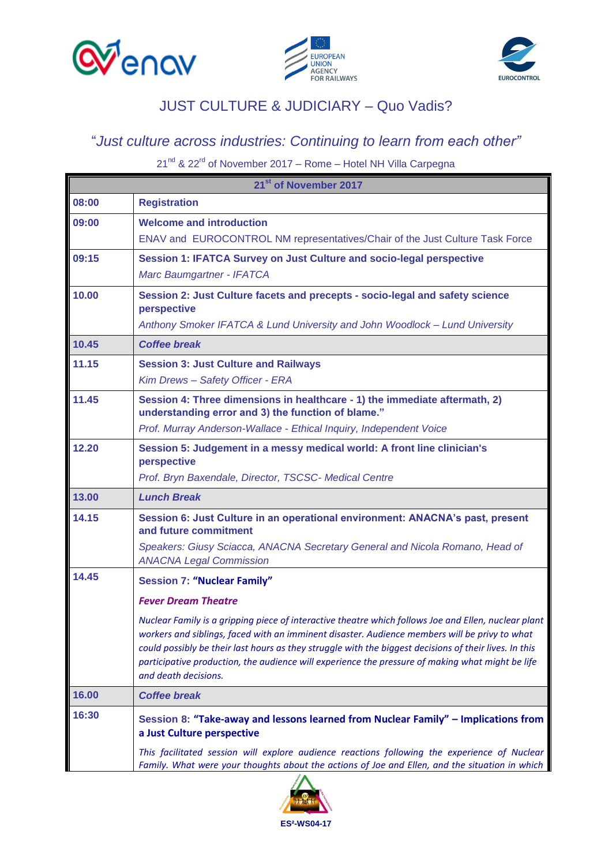





#### JUST CULTURE & JUDICIARY – Quo Vadis?

#### "*Just culture across industries: Continuing to learn from each other"*

21<sup>nd</sup> & 22<sup>rd</sup> of November 2017 – Rome – Hotel NH Villa Carpegna

| 21st of November 2017 |                                                                                                                                                                                                            |  |
|-----------------------|------------------------------------------------------------------------------------------------------------------------------------------------------------------------------------------------------------|--|
| 08:00                 | <b>Registration</b>                                                                                                                                                                                        |  |
| 09:00                 | <b>Welcome and introduction</b>                                                                                                                                                                            |  |
|                       | ENAV and EUROCONTROL NM representatives/Chair of the Just Culture Task Force                                                                                                                               |  |
| 09:15                 | Session 1: IFATCA Survey on Just Culture and socio-legal perspective                                                                                                                                       |  |
|                       | Marc Baumgartner - IFATCA                                                                                                                                                                                  |  |
| 10.00                 | Session 2: Just Culture facets and precepts - socio-legal and safety science<br>perspective                                                                                                                |  |
|                       | Anthony Smoker IFATCA & Lund University and John Woodlock - Lund University                                                                                                                                |  |
| 10.45                 | <b>Coffee break</b>                                                                                                                                                                                        |  |
| 11.15                 | <b>Session 3: Just Culture and Railways</b>                                                                                                                                                                |  |
|                       | Kim Drews - Safety Officer - ERA                                                                                                                                                                           |  |
| 11.45                 | Session 4: Three dimensions in healthcare - 1) the immediate aftermath, 2)<br>understanding error and 3) the function of blame."                                                                           |  |
|                       | Prof. Murray Anderson-Wallace - Ethical Inquiry, Independent Voice                                                                                                                                         |  |
| 12.20                 | Session 5: Judgement in a messy medical world: A front line clinician's<br>perspective                                                                                                                     |  |
|                       | Prof. Bryn Baxendale, Director, TSCSC- Medical Centre                                                                                                                                                      |  |
| 13.00                 | <b>Lunch Break</b>                                                                                                                                                                                         |  |
| 14.15                 | Session 6: Just Culture in an operational environment: ANACNA's past, present<br>and future commitment                                                                                                     |  |
|                       | Speakers: Giusy Sciacca, ANACNA Secretary General and Nicola Romano, Head of                                                                                                                               |  |
|                       | <b>ANACNA Legal Commission</b>                                                                                                                                                                             |  |
| 14.45                 | <b>Session 7: "Nuclear Family"</b>                                                                                                                                                                         |  |
|                       | <b>Fever Dream Theatre</b>                                                                                                                                                                                 |  |
|                       | Nuclear Family is a gripping piece of interactive theatre which follows Joe and Ellen, nuclear plant                                                                                                       |  |
|                       | workers and siblings, faced with an imminent disaster. Audience members will be privy to what                                                                                                              |  |
|                       | could possibly be their last hours as they struggle with the biggest decisions of their lives. In this<br>participative production, the audience will experience the pressure of making what might be life |  |
|                       | and death decisions.                                                                                                                                                                                       |  |
| 16.00                 | <b>Coffee break</b>                                                                                                                                                                                        |  |
| 16:30                 | Session 8: "Take-away and lessons learned from Nuclear Family" - Implications from<br>a Just Culture perspective                                                                                           |  |
|                       | This facilitated session will explore audience reactions following the experience of Nuclear<br>Family. What were your thoughts about the actions of Joe and Ellen, and the situation in which             |  |

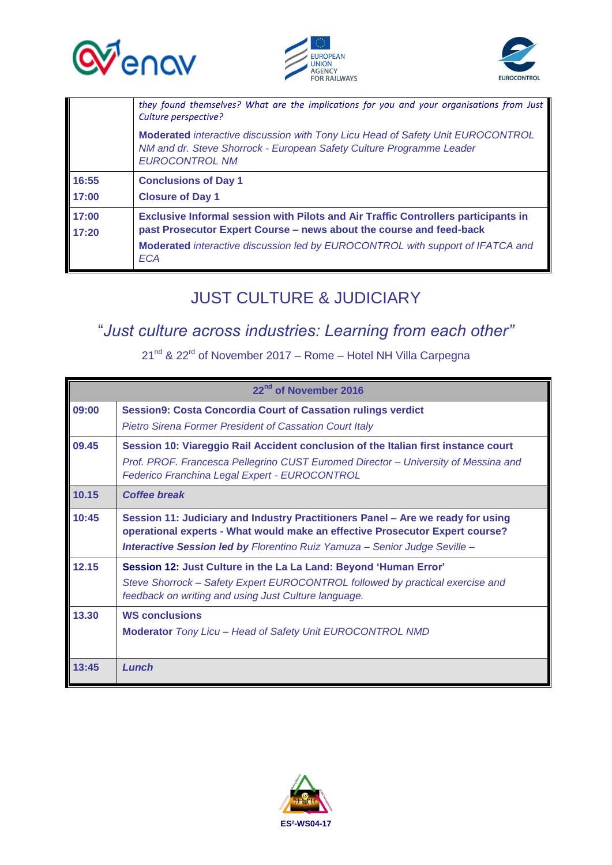





|                | they found themselves? What are the implications for you and your organisations from Just<br>Culture perspective?                                                                                                                                         |
|----------------|-----------------------------------------------------------------------------------------------------------------------------------------------------------------------------------------------------------------------------------------------------------|
|                | <b>Moderated</b> interactive discussion with Tony Licu Head of Safety Unit EUROCONTROL<br>NM and dr. Steve Shorrock - European Safety Culture Programme Leader<br><b>EUROCONTROL NM</b>                                                                   |
| 16:55          | <b>Conclusions of Day 1</b>                                                                                                                                                                                                                               |
| 17:00          | <b>Closure of Day 1</b>                                                                                                                                                                                                                                   |
| 17:00<br>17:20 | Exclusive Informal session with Pilots and Air Traffic Controllers participants in<br>past Prosecutor Expert Course – news about the course and feed-back<br>Moderated interactive discussion led by EUROCONTROL with support of IFATCA and<br><b>ECA</b> |

#### JUST CULTURE & JUDICIARY

#### "*Just culture across industries: Learning from each other"*

 $21^{nd}$  &  $22^{rd}$  of November 2017 – Rome – Hotel NH Villa Carpegna

| 22 <sup>nd</sup> of November 2016 |                                                                                                                                                                                                                                                      |  |
|-----------------------------------|------------------------------------------------------------------------------------------------------------------------------------------------------------------------------------------------------------------------------------------------------|--|
| 09:00                             | <b>Session9: Costa Concordia Court of Cassation rulings verdict</b><br><b>Pietro Sirena Former President of Cassation Court Italy</b>                                                                                                                |  |
| 09.45                             | Session 10: Viareggio Rail Accident conclusion of the Italian first instance court<br>Prof. PROF. Francesca Pellegrino CUST Euromed Director - University of Messina and<br>Federico Franchina Legal Expert - EUROCONTROL                            |  |
| 10.15                             | <b>Coffee break</b>                                                                                                                                                                                                                                  |  |
| 10:45                             | Session 11: Judiciary and Industry Practitioners Panel - Are we ready for using<br>operational experts - What would make an effective Prosecutor Expert course?<br><b>Interactive Session led by Florentino Ruiz Yamuza - Senior Judge Seville -</b> |  |
| 12.15                             | Session 12: Just Culture in the La La Land: Beyond 'Human Error'<br>Steve Shorrock - Safety Expert EUROCONTROL followed by practical exercise and<br>feedback on writing and using Just Culture language.                                            |  |
| 13.30                             | <b>WS conclusions</b><br>Moderator Tony Licu - Head of Safety Unit EUROCONTROL NMD                                                                                                                                                                   |  |
| 13:45                             | Lunch                                                                                                                                                                                                                                                |  |